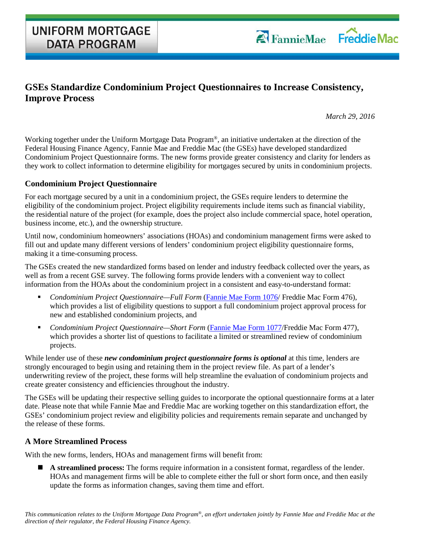## **GSEs Standardize Condominium Project Questionnaires to Increase Consistency, Improve Process**

*March 29, 2016*

Working together under the Uniform Mortgage Data Program®, an initiative undertaken at the direction of the Federal Housing Finance Agency, Fannie Mae and Freddie Mac (the GSEs) have developed standardized Condominium Project Questionnaire forms. The new forms provide greater consistency and clarity for lenders as they work to collect information to determine eligibility for mortgages secured by units in condominium projects.

## **Condominium Project Questionnaire**

For each mortgage secured by a unit in a condominium project, the GSEs require lenders to determine the eligibility of the condominium project. Project eligibility requirements include items such as financial viability, the residential nature of the project (for example, does the project also include commercial space, hotel operation, business income, etc.), and the ownership structure.

Until now, condominium homeowners' associations (HOAs) and condominium management firms were asked to fill out and update many different versions of lenders' condominium project eligibility questionnaire forms, making it a time-consuming process.

The GSEs created the new standardized forms based on lender and industry feedback collected over the years, as well as from a recent GSE survey. The following forms provide lenders with a convenient way to collect information from the HOAs about the condominium project in a consistent and easy-to-understand format:

- *Condominium Project Questionnaire—Full Form* [\(Fannie Mae Form 1076/](https://www.fanniemae.com/content/guide_form/1076.pdf) Freddie Mac Form 476), which provides a list of eligibility questions to support a full condominium project approval process for new and established condominium projects, and
- *Condominium Project Questionnaire—Short Form* [\(Fannie Mae Form 1077/](https://www.fanniemae.com/content/guide_form/1077.pdf)Freddie Mac Form 477), which provides a shorter list of questions to facilitate a limited or streamlined review of condominium projects.

While lender use of these *new condominium project questionnaire forms is optional* at this time, lenders are strongly encouraged to begin using and retaining them in the project review file. As part of a lender's underwriting review of the project, these forms will help streamline the evaluation of condominium projects and create greater consistency and efficiencies throughout the industry.

The GSEs will be updating their respective selling guides to incorporate the optional questionnaire forms at a later date. Please note that while Fannie Mae and Freddie Mac are working together on this standardization effort, the GSEs' condominium project review and eligibility policies and requirements remain separate and unchanged by the release of these forms.

## **A More Streamlined Process**

With the new forms, lenders, HOAs and management firms will benefit from:

 **A streamlined process:** The forms require information in a consistent format, regardless of the lender. HOAs and management firms will be able to complete either the full or short form once, and then easily update the forms as information changes, saving them time and effort.